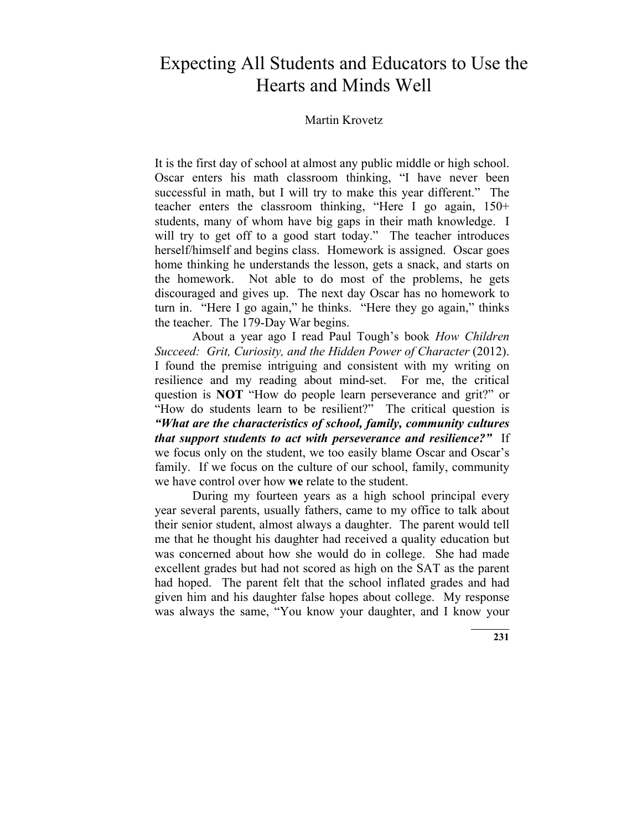# Expecting All Students and Educators to Use the Hearts and Minds Well

#### Martin Krovetz

It is the first day of school at almost any public middle or high school. Oscar enters his math classroom thinking, "I have never been successful in math, but I will try to make this year different." The teacher enters the classroom thinking, "Here I go again, 150+ students, many of whom have big gaps in their math knowledge. I will try to get off to a good start today." The teacher introduces herself/himself and begins class. Homework is assigned. Oscar goes home thinking he understands the lesson, gets a snack, and starts on the homework. Not able to do most of the problems, he gets discouraged and gives up. The next day Oscar has no homework to turn in. "Here I go again," he thinks. "Here they go again," thinks the teacher. The 179-Day War begins.

About a year ago I read Paul Tough's book *How Children Succeed: Grit, Curiosity, and the Hidden Power of Character (2012).* I found the premise intriguing and consistent with my writing on resilience and my reading about mind-set. For me, the critical question is **NOT** "How do people learn perseverance and grit?" or "How do students learn to be resilient?" The critical question is *"What are the characteristics of school, family, community cultures that support students to act with perseverance and resilience?"* If we focus only on the student, we too easily blame Oscar and Oscar's family. If we focus on the culture of our school, family, community we have control over how **we** relate to the student.

During my fourteen years as a high school principal every year several parents, usually fathers, came to my office to talk about their senior student, almost always a daughter. The parent would tell me that he thought his daughter had received a quality education but was concerned about how she would do in college. She had made excellent grades but had not scored as high on the SAT as the parent had hoped. The parent felt that the school inflated grades and had given him and his daughter false hopes about college. My response was always the same, "You know your daughter, and I know your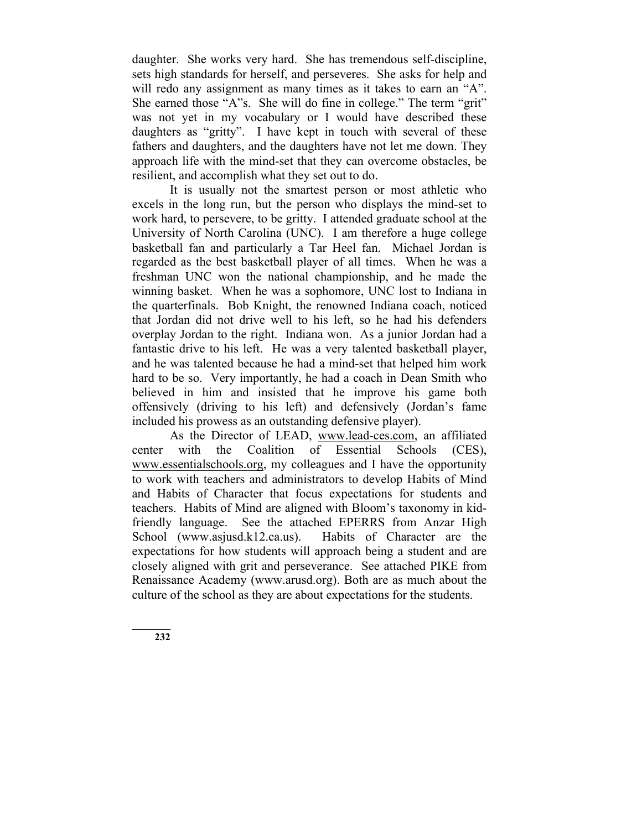daughter. She works very hard. She has tremendous self-discipline, sets high standards for herself, and perseveres. She asks for help and will redo any assignment as many times as it takes to earn an "A". She earned those "A"s. She will do fine in college." The term "grit" was not yet in my vocabulary or I would have described these daughters as "gritty". I have kept in touch with several of these fathers and daughters, and the daughters have not let me down. They approach life with the mind-set that they can overcome obstacles, be resilient, and accomplish what they set out to do.

It is usually not the smartest person or most athletic who excels in the long run, but the person who displays the mind-set to work hard, to persevere, to be gritty. I attended graduate school at the University of North Carolina (UNC). I am therefore a huge college basketball fan and particularly a Tar Heel fan. Michael Jordan is regarded as the best basketball player of all times. When he was a freshman UNC won the national championship, and he made the winning basket. When he was a sophomore, UNC lost to Indiana in the quarterfinals. Bob Knight, the renowned Indiana coach, noticed that Jordan did not drive well to his left, so he had his defenders overplay Jordan to the right. Indiana won. As a junior Jordan had a fantastic drive to his left. He was a very talented basketball player, and he was talented because he had a mind-set that helped him work hard to be so. Very importantly, he had a coach in Dean Smith who believed in him and insisted that he improve his game both offensively (driving to his left) and defensively (Jordan's fame included his prowess as an outstanding defensive player).

As the Director of LEAD, www.lead-ces.com, an affiliated center with the Coalition of Essential Schools (CES), www.essentialschools.org, my colleagues and I have the opportunity to work with teachers and administrators to develop Habits of Mind and Habits of Character that focus expectations for students and teachers. Habits of Mind are aligned with Bloom's taxonomy in kidfriendly language. See the attached EPERRS from Anzar High School (www.asjusd.k12.ca.us). Habits of Character are the expectations for how students will approach being a student and are closely aligned with grit and perseverance. See attached PIKE from Renaissance Academy (www.arusd.org). Both are as much about the culture of the school as they are about expectations for the students.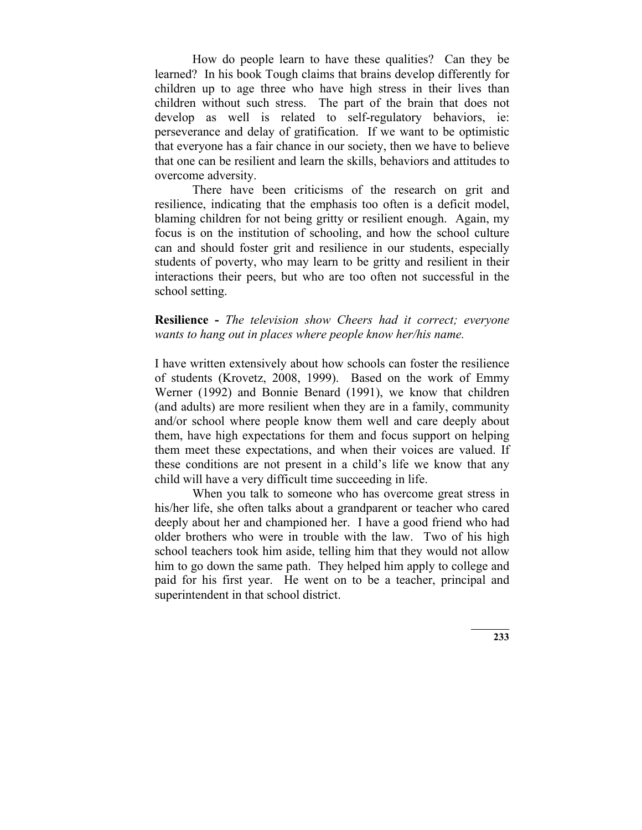How do people learn to have these qualities? Can they be learned? In his book Tough claims that brains develop differently for children up to age three who have high stress in their lives than children without such stress. The part of the brain that does not develop as well is related to self-regulatory behaviors, ie: perseverance and delay of gratification. If we want to be optimistic that everyone has a fair chance in our society, then we have to believe that one can be resilient and learn the skills, behaviors and attitudes to overcome adversity.

There have been criticisms of the research on grit and resilience, indicating that the emphasis too often is a deficit model, blaming children for not being gritty or resilient enough. Again, my focus is on the institution of schooling, and how the school culture can and should foster grit and resilience in our students, especially students of poverty, who may learn to be gritty and resilient in their interactions their peers, but who are too often not successful in the school setting.

# **Resilience -** *The television show Cheers had it correct; everyone wants to hang out in places where people know her/his name.*

I have written extensively about how schools can foster the resilience of students (Krovetz, 2008, 1999). Based on the work of Emmy Werner (1992) and Bonnie Benard (1991), we know that children (and adults) are more resilient when they are in a family, community and/or school where people know them well and care deeply about them, have high expectations for them and focus support on helping them meet these expectations, and when their voices are valued. If these conditions are not present in a child's life we know that any child will have a very difficult time succeeding in life.

When you talk to someone who has overcome great stress in his/her life, she often talks about a grandparent or teacher who cared deeply about her and championed her. I have a good friend who had older brothers who were in trouble with the law. Two of his high school teachers took him aside, telling him that they would not allow him to go down the same path. They helped him apply to college and paid for his first year. He went on to be a teacher, principal and superintendent in that school district.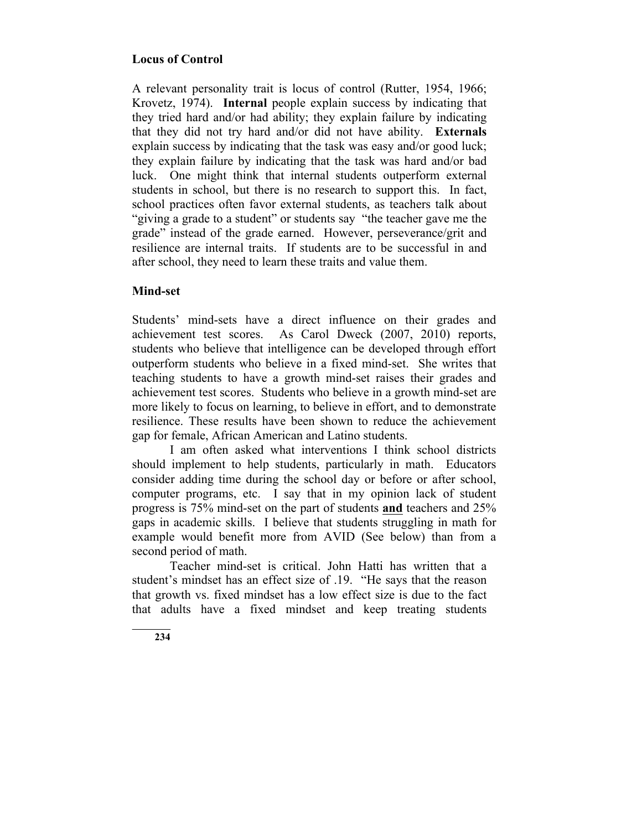# **Locus of Control**

A relevant personality trait is locus of control (Rutter, 1954, 1966; Krovetz, 1974). **Internal** people explain success by indicating that they tried hard and/or had ability; they explain failure by indicating that they did not try hard and/or did not have ability. **Externals** explain success by indicating that the task was easy and/or good luck; they explain failure by indicating that the task was hard and/or bad luck. One might think that internal students outperform external students in school, but there is no research to support this. In fact, school practices often favor external students, as teachers talk about "giving a grade to a student" or students say "the teacher gave me the grade" instead of the grade earned. However, perseverance/grit and resilience are internal traits. If students are to be successful in and after school, they need to learn these traits and value them.

# **Mind-set**

Students' mind-sets have a direct influence on their grades and achievement test scores. As Carol Dweck (2007, 2010) reports, students who believe that intelligence can be developed through effort outperform students who believe in a fixed mind-set. She writes that teaching students to have a growth mind-set raises their grades and achievement test scores. Students who believe in a growth mind-set are more likely to focus on learning, to believe in effort, and to demonstrate resilience. These results have been shown to reduce the achievement gap for female, African American and Latino students.

I am often asked what interventions I think school districts should implement to help students, particularly in math. Educators consider adding time during the school day or before or after school, computer programs, etc. I say that in my opinion lack of student progress is 75% mind-set on the part of students **and** teachers and 25% gaps in academic skills. I believe that students struggling in math for example would benefit more from AVID (See below) than from a second period of math.

Teacher mind-set is critical. John Hatti has written that a student's mindset has an effect size of .19. "He says that the reason that growth vs. fixed mindset has a low effect size is due to the fact that adults have a fixed mindset and keep treating students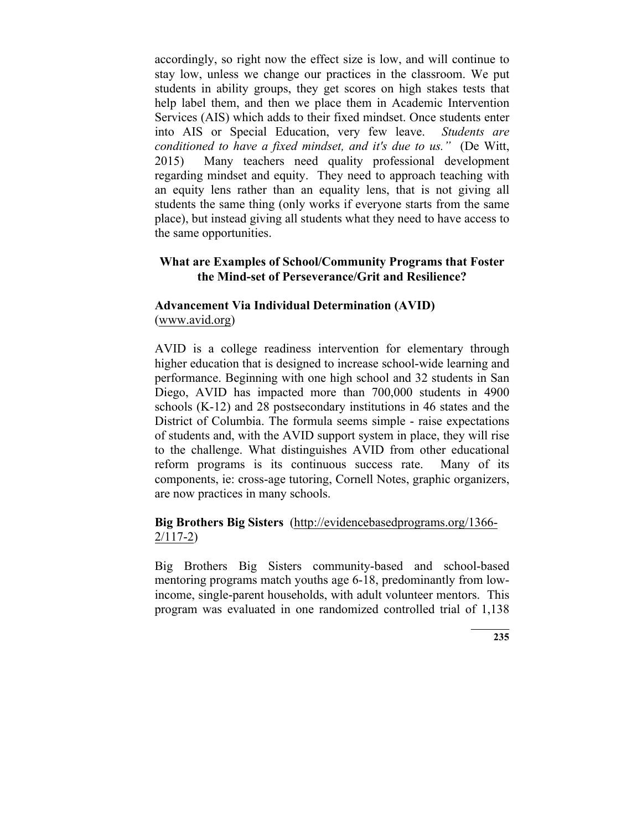accordingly, so right now the effect size is low, and will continue to stay low, unless we change our practices in the classroom. We put students in ability groups, they get scores on high stakes tests that help label them, and then we place them in Academic Intervention Services (AIS) which adds to their fixed mindset. Once students enter into AIS or Special Education, very few leave. *Students are conditioned to have a fixed mindset, and it's due to us."* (De Witt, 2015) Many teachers need quality professional development regarding mindset and equity. They need to approach teaching with an equity lens rather than an equality lens, that is not giving all students the same thing (only works if everyone starts from the same place), but instead giving all students what they need to have access to the same opportunities.

# **What are Examples of School/Community Programs that Foster the Mind-set of Perseverance/Grit and Resilience?**

# **Advancement Via Individual Determination (AVID)** (www.avid.org)

AVID is a college readiness intervention for elementary through higher education that is designed to increase school-wide learning and performance. Beginning with one high school and 32 students in San Diego, AVID has impacted more than 700,000 students in 4900 schools (K-12) and 28 postsecondary institutions in 46 states and the District of Columbia. The formula seems simple - raise expectations of students and, with the AVID support system in place, they will rise to the challenge. What distinguishes AVID from other educational reform programs is its continuous success rate. Many of its components, ie: cross-age tutoring, Cornell Notes, graphic organizers, are now practices in many schools.

# **Big Brothers Big Sisters** (http://evidencebasedprograms.org/1366- 2/117-2)

Big Brothers Big Sisters community-based and school-based mentoring programs match youths age 6-18, predominantly from lowincome, single-parent households, with adult volunteer mentors. This program was evaluated in one randomized controlled trial of 1,138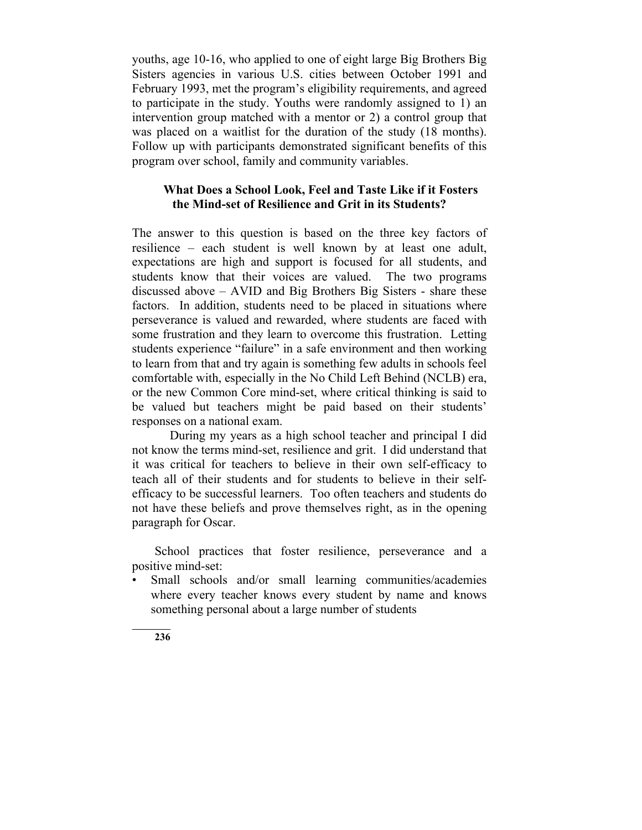youths, age 10-16, who applied to one of eight large Big Brothers Big Sisters agencies in various U.S. cities between October 1991 and February 1993, met the program's eligibility requirements, and agreed to participate in the study. Youths were randomly assigned to 1) an intervention group matched with a mentor or 2) a control group that was placed on a waitlist for the duration of the study (18 months). Follow up with participants demonstrated significant benefits of this program over school, family and community variables.

# **What Does a School Look, Feel and Taste Like if it Fosters the Mind-set of Resilience and Grit in its Students?**

The answer to this question is based on the three key factors of resilience – each student is well known by at least one adult, expectations are high and support is focused for all students, and students know that their voices are valued. The two programs discussed above – AVID and Big Brothers Big Sisters - share these factors. In addition, students need to be placed in situations where perseverance is valued and rewarded, where students are faced with some frustration and they learn to overcome this frustration. Letting students experience "failure" in a safe environment and then working to learn from that and try again is something few adults in schools feel comfortable with, especially in the No Child Left Behind (NCLB) era, or the new Common Core mind-set, where critical thinking is said to be valued but teachers might be paid based on their students' responses on a national exam.

During my years as a high school teacher and principal I did not know the terms mind-set, resilience and grit. I did understand that it was critical for teachers to believe in their own self-efficacy to teach all of their students and for students to believe in their selfefficacy to be successful learners. Too often teachers and students do not have these beliefs and prove themselves right, as in the opening paragraph for Oscar.

School practices that foster resilience, perseverance and a positive mind-set:

Small schools and/or small learning communities/academies where every teacher knows every student by name and knows something personal about a large number of students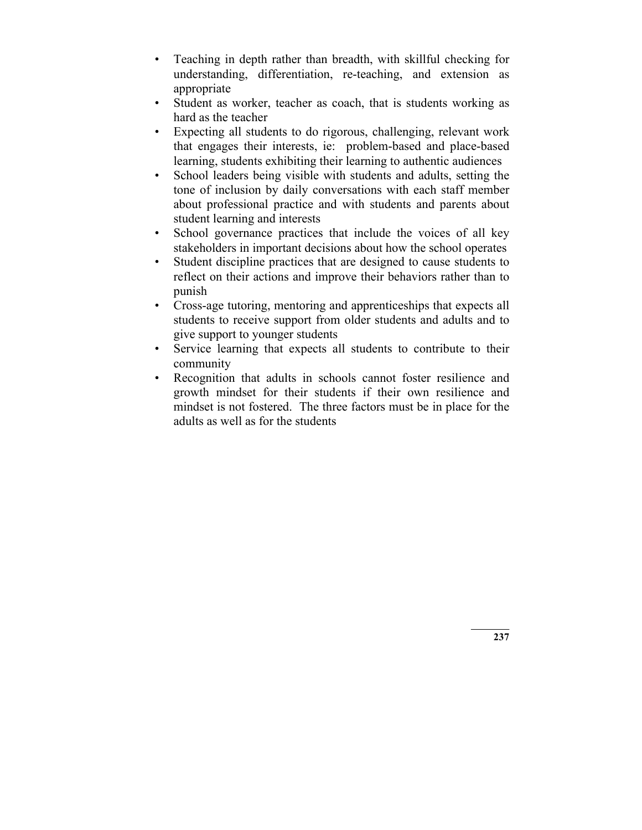- Teaching in depth rather than breadth, with skillful checking for understanding, differentiation, re-teaching, and extension as appropriate
- Student as worker, teacher as coach, that is students working as hard as the teacher
- Expecting all students to do rigorous, challenging, relevant work that engages their interests, ie: problem-based and place-based learning, students exhibiting their learning to authentic audiences
- School leaders being visible with students and adults, setting the tone of inclusion by daily conversations with each staff member about professional practice and with students and parents about student learning and interests
- School governance practices that include the voices of all key stakeholders in important decisions about how the school operates
- Student discipline practices that are designed to cause students to reflect on their actions and improve their behaviors rather than to punish
- Cross-age tutoring, mentoring and apprenticeships that expects all students to receive support from older students and adults and to give support to younger students
- Service learning that expects all students to contribute to their community
- Recognition that adults in schools cannot foster resilience and growth mindset for their students if their own resilience and mindset is not fostered. The three factors must be in place for the adults as well as for the students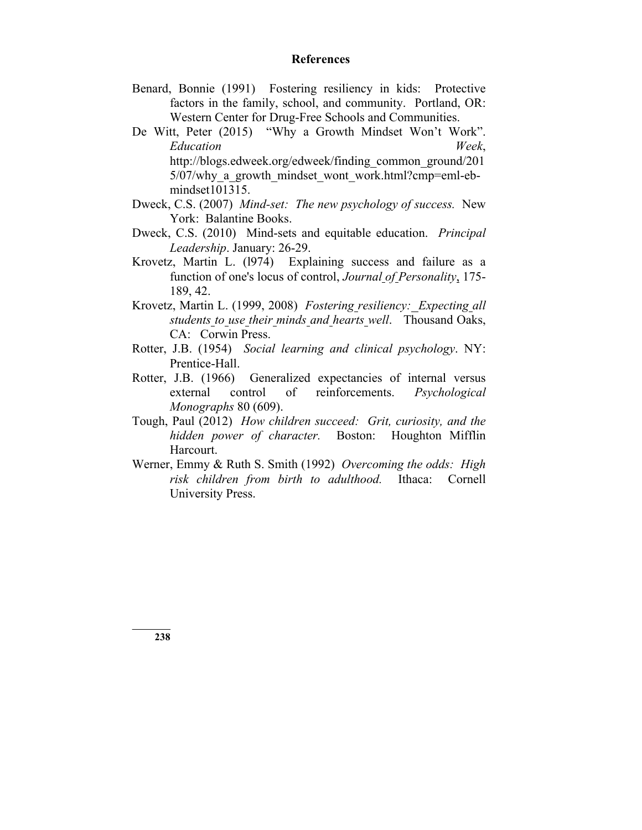#### **References**

- Benard, Bonnie (1991) Fostering resiliency in kids: Protective factors in the family, school, and community. Portland, OR: Western Center for Drug-Free Schools and Communities.
- De Witt, Peter (2015) "Why a Growth Mindset Won't Work". *Education Week*, http://blogs.edweek.org/edweek/finding\_common\_ground/201 5/07/why a growth mindset wont work.html?cmp=eml-ebmindset101315.
- Dweck, C.S. (2007) *Mind-set: The new psychology of success.* New York: Balantine Books.
- Dweck, C.S. (2010) Mind-sets and equitable education. *Principal Leadership*. January: 26-29.
- Krovetz, Martin L. (l974) Explaining success and failure as a function of one's locus of control, *Journal of Personality*, 175- 189, 42.
- Krovetz, Martin L. (1999, 2008) *Fostering resiliency: Expecting all students to use their minds and hearts well*. Thousand Oaks, CA: Corwin Press.
- Rotter, J.B. (1954) *Social learning and clinical psychology*. NY: Prentice-Hall.
- Rotter, J.B. (1966) Generalized expectancies of internal versus external control of reinforcements. *Psychological Monographs* 80 (609).
- Tough, Paul (2012) *How children succeed: Grit, curiosity, and the hidden power of character.* Boston: Houghton Mifflin Harcourt.
- Werner, Emmy & Ruth S. Smith (1992) *Overcoming the odds: High risk children from birth to adulthood.* Ithaca: Cornell University Press.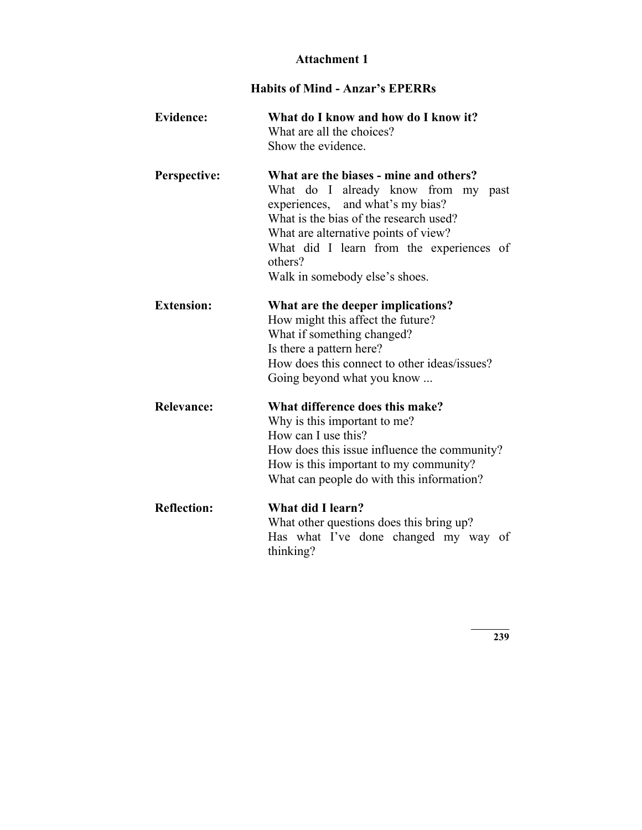# **Attachment 1**

# **Habits of Mind - Anzar's EPERRs**

| <b>Evidence:</b>   | What do I know and how do I know it?<br>What are all the choices?<br>Show the evidence.                                                                                                                                                                                                         |
|--------------------|-------------------------------------------------------------------------------------------------------------------------------------------------------------------------------------------------------------------------------------------------------------------------------------------------|
| Perspective:       | What are the biases - mine and others?<br>What do I already know from<br>my past<br>experiences, and what's my bias?<br>What is the bias of the research used?<br>What are alternative points of view?<br>What did I learn from the experiences of<br>others?<br>Walk in somebody else's shoes. |
| <b>Extension:</b>  | What are the deeper implications?<br>How might this affect the future?<br>What if something changed?<br>Is there a pattern here?<br>How does this connect to other ideas/issues?<br>Going beyond what you know                                                                                  |
| <b>Relevance:</b>  | What difference does this make?<br>Why is this important to me?<br>How can I use this?<br>How does this issue influence the community?<br>How is this important to my community?<br>What can people do with this information?                                                                   |
| <b>Reflection:</b> | What did I learn?<br>What other questions does this bring up?<br>Has what I've done changed my way<br>of<br>thinking?                                                                                                                                                                           |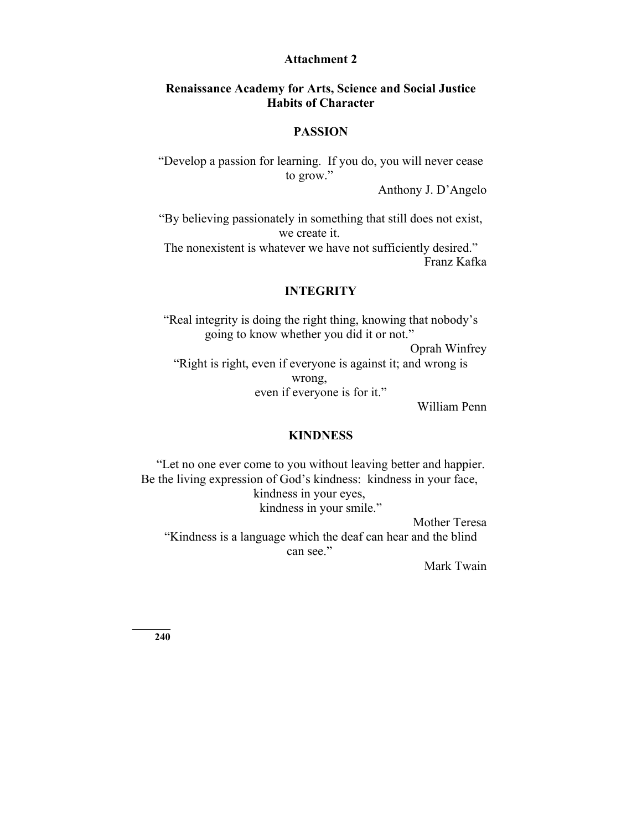#### **Attachment 2**

# **Renaissance Academy for Arts, Science and Social Justice Habits of Character**

#### **PASSION**

"Develop a passion for learning. If you do, you will never cease to grow."

Anthony J. D'Angelo

"By believing passionately in something that still does not exist, we create it. The nonexistent is whatever we have not sufficiently desired."

Franz Kafka

## **INTEGRITY**

"Real integrity is doing the right thing, knowing that nobody's going to know whether you did it or not." Oprah Winfrey "Right is right, even if everyone is against it; and wrong is wrong, even if everyone is for it."

William Penn

#### **KINDNESS**

"Let no one ever come to you without leaving better and happier. Be the living expression of God's kindness: kindness in your face, kindness in your eyes, kindness in your smile." Mother Teresa

"Kindness is a language which the deaf can hear and the blind can see."

Mark Twain